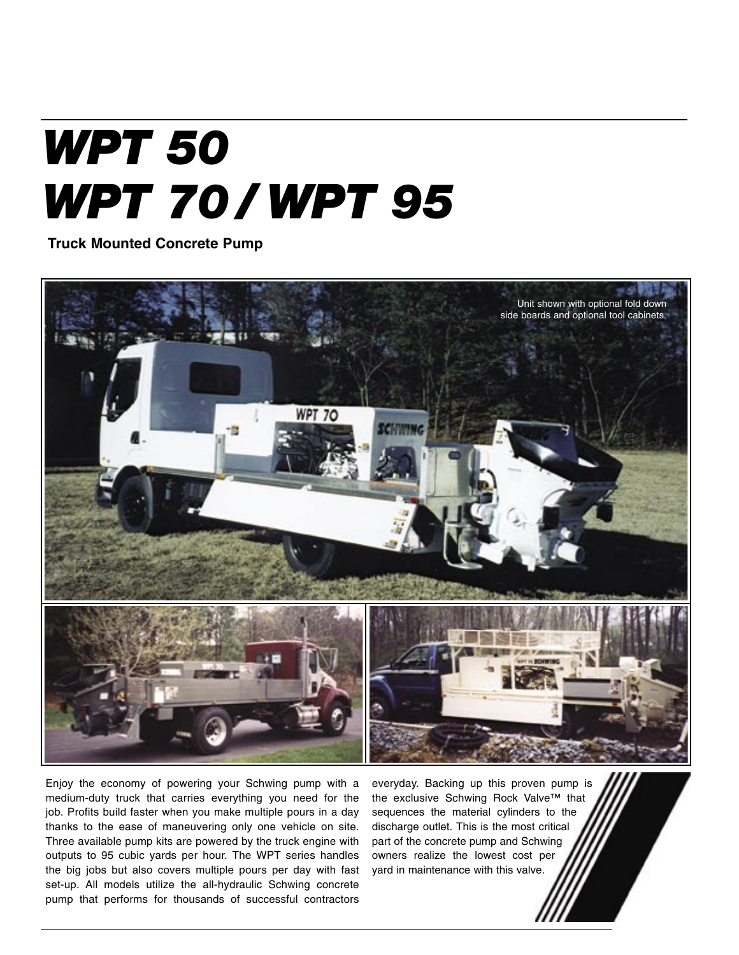## *WPT 50 WPT 70/ WPT 95*

**Truck Mounted Concrete Pump**



Enjoy the economy of powering your Schwing pump with a medium-duty truck that carries everything you need for the job. Profits build faster when you make multiple pours in a day thanks to the ease of maneuvering only one vehicle on site. Three available pump kits are powered by the truck engine with outputs to 95 cubic yards per hour. The WPT series handles the big jobs but also covers multiple pours per day with fast set-up. All models utilize the all-hydraulic Schwing concrete pump that performs for thousands of successful contractors

everyday. Backing up this proven pump is the exclusive Schwing Rock Valve™ that sequences the material cylinders to the discharge outlet. This is the most critical part of the concrete pump and Schwing owners realize the lowest cost per yard in maintenance with this valve.